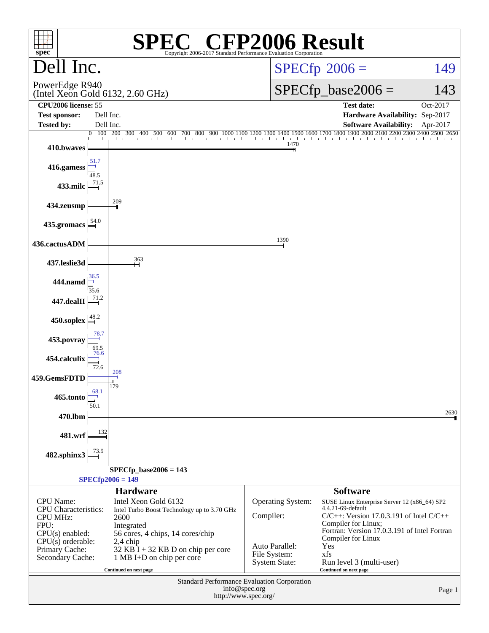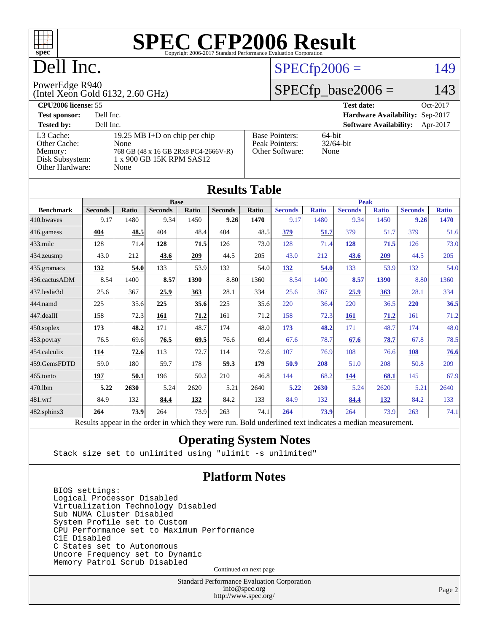

# Dell Inc.

# $SPECfp2006 = 149$  $SPECfp2006 = 149$

#### PowerEdge R940

(Intel Xeon Gold 6132, 2.60 GHz)

## $SPECfp\_base2006 = 143$

| <b>CPU2006 license: 55</b>                              |                                                                                                           |                                                            | Oct-2017<br><b>Test date:</b>             |
|---------------------------------------------------------|-----------------------------------------------------------------------------------------------------------|------------------------------------------------------------|-------------------------------------------|
| <b>Test sponsor:</b>                                    | Dell Inc.                                                                                                 |                                                            | Hardware Availability: Sep-2017           |
| <b>Tested by:</b>                                       | Dell Inc.                                                                                                 |                                                            | <b>Software Availability:</b><br>Apr-2017 |
| L3 Cache:<br>Other Cache:<br>Memory:<br>Disk Subsystem: | 19.25 MB I+D on chip per chip<br>None<br>768 GB (48 x 16 GB 2Rx8 PC4-2666V-R)<br>1 x 900 GB 15K RPM SAS12 | <b>Base Pointers:</b><br>Peak Pointers:<br>Other Software: | $64$ -bit<br>$32/64$ -bit<br>None         |
| Other Hardware:                                         | None                                                                                                      |                                                            |                                           |

| <b>Results Table</b> |                                                                                                          |              |                |             |                |       |                |              |                |              |                |              |
|----------------------|----------------------------------------------------------------------------------------------------------|--------------|----------------|-------------|----------------|-------|----------------|--------------|----------------|--------------|----------------|--------------|
|                      | <b>Base</b>                                                                                              |              |                | <b>Peak</b> |                |       |                |              |                |              |                |              |
| <b>Benchmark</b>     | <b>Seconds</b>                                                                                           | <b>Ratio</b> | <b>Seconds</b> | Ratio       | <b>Seconds</b> | Ratio | <b>Seconds</b> | <b>Ratio</b> | <b>Seconds</b> | <b>Ratio</b> | <b>Seconds</b> | <b>Ratio</b> |
| 410.bwayes           | 9.17                                                                                                     | 1480         | 9.34           | 1450        | 9.26           | 1470  | 9.17           | 1480         | 9.34           | 1450         | 9.26           | 1470         |
| 416.gamess           | 404                                                                                                      | 48.5         | 404            | 48.4        | 404            | 48.5  | 379            | 51.7         | 379            | 51.7         | 379            | 51.6         |
| $433$ .milc          | 128                                                                                                      | 71.4         | 128            | 71.5        | 126            | 73.0  | 128            | 71.4         | 128            | 71.5         | 126            | 73.0         |
| 434.zeusmp           | 43.0                                                                                                     | 212          | 43.6           | 209         | 44.5           | 205   | 43.0           | 212          | 43.6           | 209          | 44.5           | 205          |
| 435 gromacs          | 132                                                                                                      | 54.0         | 133            | 53.9        | 132            | 54.0  | 132            | 54.0         | 133            | 53.9         | 132            | 54.0         |
| 436.cactusADM        | 8.54                                                                                                     | 1400         | 8.57           | 1390        | 8.80           | 1360  | 8.54           | 1400         | 8.57           | 1390         | 8.80           | 1360         |
| 437.leslie3d         | 25.6                                                                                                     | 367          | 25.9           | 363         | 28.1           | 334   | 25.6           | 367          | 25.9           | 363          | 28.1           | 334          |
| 444.namd             | 225                                                                                                      | 35.6         | 225            | 35.6        | 225            | 35.6  | 220            | 36.4         | 220            | 36.5         | 220            | 36.5         |
| 447.dealII           | 158                                                                                                      | 72.3         | 161            | 71.2        | 161            | 71.2  | 158            | 72.3         | 161            | 71.2         | 161            | 71.2         |
| $450$ .soplex        | 173                                                                                                      | 48.2         | 171            | 48.7        | 174            | 48.0  | 173            | 48.2         | 171            | 48.7         | 174            | 48.0         |
| 453.povray           | 76.5                                                                                                     | 69.6         | 76.5           | 69.5        | 76.6           | 69.4  | 67.6           | 78.7         | 67.6           | 78.7         | 67.8           | 78.5         |
| 454.calculix         | 114                                                                                                      | 72.6         | 113            | 72.7        | 114            | 72.6  | 107            | 76.9         | 108            | 76.6         | 108            | 76.6         |
| 459.GemsFDTD         | 59.0                                                                                                     | 180          | 59.7           | 178         | 59.3           | 179   | 50.9           | 208          | 51.0           | 208          | 50.8           | 209          |
| $465$ .tonto         | 197                                                                                                      | 50.1         | 196            | 50.2        | 210            | 46.8  | 144            | 68.2         | 144            | 68.1         | 145            | 67.9         |
| 470.1bm              | 5.22                                                                                                     | 2630         | 5.24           | 2620        | 5.21           | 2640  | 5.22           | 2630         | 5.24           | 2620         | 5.21           | 2640         |
| 481.wrf              | 84.9                                                                                                     | 132          | 84.4           | 132         | 84.2           | 133   | 84.9           | 132          | 84.4           | 132          | 84.2           | 133          |
| 482.sphinx3          | 264                                                                                                      | 73.9         | 264            | 73.9        | 263            | 74.1  | 264            | 73.9         | 264            | 73.9         | 263            | 74.1         |
|                      | Results appear in the order in which they were run. Bold underlined text indicates a median measurement. |              |                |             |                |       |                |              |                |              |                |              |

### **[Operating System Notes](http://www.spec.org/auto/cpu2006/Docs/result-fields.html#OperatingSystemNotes)**

Stack size set to unlimited using "ulimit -s unlimited"

### **[Platform Notes](http://www.spec.org/auto/cpu2006/Docs/result-fields.html#PlatformNotes)**

 BIOS settings: Logical Processor Disabled Virtualization Technology Disabled Sub NUMA Cluster Disabled System Profile set to Custom CPU Performance set to Maximum Performance C1E Disabled C States set to Autonomous Uncore Frequency set to Dynamic Memory Patrol Scrub Disabled

Continued on next page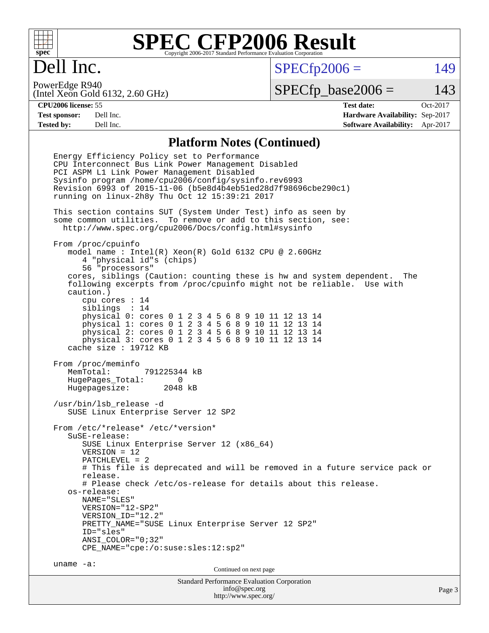

# Dell Inc.

 $SPECTp2006 = 149$ 

(Intel Xeon Gold 6132, 2.60 GHz) PowerEdge R940

 $SPECTp\_base2006 = 143$ 

**[CPU2006 license:](http://www.spec.org/auto/cpu2006/Docs/result-fields.html#CPU2006license)** 55 **[Test date:](http://www.spec.org/auto/cpu2006/Docs/result-fields.html#Testdate)** Oct-2017 **[Test sponsor:](http://www.spec.org/auto/cpu2006/Docs/result-fields.html#Testsponsor)** Dell Inc. **[Hardware Availability:](http://www.spec.org/auto/cpu2006/Docs/result-fields.html#HardwareAvailability)** Sep-2017 **[Tested by:](http://www.spec.org/auto/cpu2006/Docs/result-fields.html#Testedby)** Dell Inc. **[Software Availability:](http://www.spec.org/auto/cpu2006/Docs/result-fields.html#SoftwareAvailability)** Apr-2017

### **[Platform Notes \(Continued\)](http://www.spec.org/auto/cpu2006/Docs/result-fields.html#PlatformNotes)**

Standard Performance Evaluation Corporation [info@spec.org](mailto:info@spec.org) Page 3 Energy Efficiency Policy set to Performance CPU Interconnect Bus Link Power Management Disabled PCI ASPM L1 Link Power Management Disabled Sysinfo program /home/cpu2006/config/sysinfo.rev6993 Revision 6993 of 2015-11-06 (b5e8d4b4eb51ed28d7f98696cbe290c1) running on linux-2h8y Thu Oct 12 15:39:21 2017 This section contains SUT (System Under Test) info as seen by some common utilities. To remove or add to this section, see: <http://www.spec.org/cpu2006/Docs/config.html#sysinfo> From /proc/cpuinfo model name : Intel(R) Xeon(R) Gold 6132 CPU @ 2.60GHz 4 "physical id"s (chips) 56 "processors" cores, siblings (Caution: counting these is hw and system dependent. The following excerpts from /proc/cpuinfo might not be reliable. Use with caution.) cpu cores : 14 siblings : 14 physical 0: cores 0 1 2 3 4 5 6 8 9 10 11 12 13 14 physical 1: cores 0 1 2 3 4 5 6 8 9 10 11 12 13 14 physical 2: cores 0 1 2 3 4 5 6 8 9 10 11 12 13 14 physical 3: cores 0 1 2 3 4 5 6 8 9 10 11 12 13 14 cache size : 19712 KB From /proc/meminfo MemTotal: 791225344 kB HugePages\_Total: 0 Hugepagesize: 2048 kB /usr/bin/lsb\_release -d SUSE Linux Enterprise Server 12 SP2 From /etc/\*release\* /etc/\*version\* SuSE-release: SUSE Linux Enterprise Server 12 (x86\_64) VERSION = 12 PATCHLEVEL = 2 # This file is deprecated and will be removed in a future service pack or release. # Please check /etc/os-release for details about this release. os-release: NAME="SLES" VERSION="12-SP2" VERSION\_ID="12.2" PRETTY\_NAME="SUSE Linux Enterprise Server 12 SP2" ID="sles" ANSI\_COLOR="0;32" CPE\_NAME="cpe:/o:suse:sles:12:sp2" uname -a: Continued on next page

<http://www.spec.org/>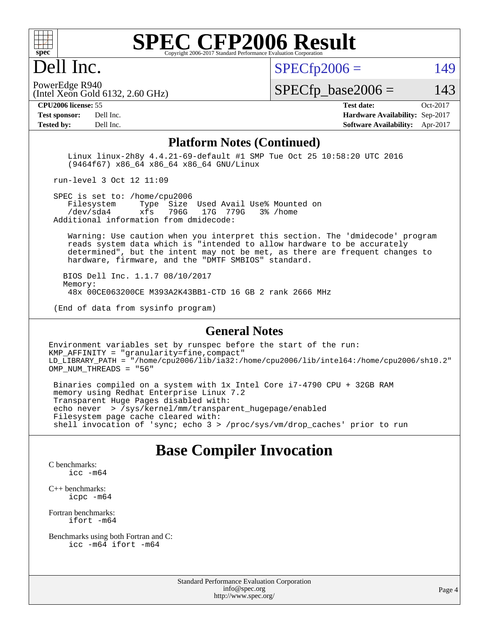

# Dell Inc.

 $SPECTp2006 = 149$ 

(Intel Xeon Gold 6132, 2.60 GHz) PowerEdge R940

 $SPECTp\_base2006 = 143$ 

**[CPU2006 license:](http://www.spec.org/auto/cpu2006/Docs/result-fields.html#CPU2006license)** 55 **[Test date:](http://www.spec.org/auto/cpu2006/Docs/result-fields.html#Testdate)** Oct-2017

**[Test sponsor:](http://www.spec.org/auto/cpu2006/Docs/result-fields.html#Testsponsor)** Dell Inc. **[Hardware Availability:](http://www.spec.org/auto/cpu2006/Docs/result-fields.html#HardwareAvailability)** Sep-2017 **[Tested by:](http://www.spec.org/auto/cpu2006/Docs/result-fields.html#Testedby)** Dell Inc. **[Software Availability:](http://www.spec.org/auto/cpu2006/Docs/result-fields.html#SoftwareAvailability)** Apr-2017

#### **[Platform Notes \(Continued\)](http://www.spec.org/auto/cpu2006/Docs/result-fields.html#PlatformNotes)**

 Linux linux-2h8y 4.4.21-69-default #1 SMP Tue Oct 25 10:58:20 UTC 2016 (9464f67) x86\_64 x86\_64 x86\_64 GNU/Linux

run-level 3 Oct 12 11:09

SPEC is set to: /home/cpu2006<br>Filesystem Type Size Type Size Used Avail Use% Mounted on /dev/sda4 xfs 796G 17G 779G 3% /home Additional information from dmidecode:

 Warning: Use caution when you interpret this section. The 'dmidecode' program reads system data which is "intended to allow hardware to be accurately determined", but the intent may not be met, as there are frequent changes to hardware, firmware, and the "DMTF SMBIOS" standard.

 BIOS Dell Inc. 1.1.7 08/10/2017 Memory: 48x 00CE063200CE M393A2K43BB1-CTD 16 GB 2 rank 2666 MHz

(End of data from sysinfo program)

#### **[General Notes](http://www.spec.org/auto/cpu2006/Docs/result-fields.html#GeneralNotes)**

Environment variables set by runspec before the start of the run: KMP\_AFFINITY = "granularity=fine,compact" LD\_LIBRARY\_PATH = "/home/cpu2006/lib/ia32:/home/cpu2006/lib/intel64:/home/cpu2006/sh10.2" OMP\_NUM\_THREADS = "56"

 Binaries compiled on a system with 1x Intel Core i7-4790 CPU + 32GB RAM memory using Redhat Enterprise Linux 7.2 Transparent Huge Pages disabled with: echo never > /sys/kernel/mm/transparent\_hugepage/enabled Filesystem page cache cleared with: shell invocation of 'sync; echo 3 > /proc/sys/vm/drop\_caches' prior to run

### **[Base Compiler Invocation](http://www.spec.org/auto/cpu2006/Docs/result-fields.html#BaseCompilerInvocation)**

[C benchmarks](http://www.spec.org/auto/cpu2006/Docs/result-fields.html#Cbenchmarks): [icc -m64](http://www.spec.org/cpu2006/results/res2017q4/cpu2006-20171114-50541.flags.html#user_CCbase_intel_icc_64bit_bda6cc9af1fdbb0edc3795bac97ada53)

[C++ benchmarks:](http://www.spec.org/auto/cpu2006/Docs/result-fields.html#CXXbenchmarks) [icpc -m64](http://www.spec.org/cpu2006/results/res2017q4/cpu2006-20171114-50541.flags.html#user_CXXbase_intel_icpc_64bit_fc66a5337ce925472a5c54ad6a0de310)

[Fortran benchmarks](http://www.spec.org/auto/cpu2006/Docs/result-fields.html#Fortranbenchmarks): [ifort -m64](http://www.spec.org/cpu2006/results/res2017q4/cpu2006-20171114-50541.flags.html#user_FCbase_intel_ifort_64bit_ee9d0fb25645d0210d97eb0527dcc06e)

[Benchmarks using both Fortran and C](http://www.spec.org/auto/cpu2006/Docs/result-fields.html#BenchmarksusingbothFortranandC): [icc -m64](http://www.spec.org/cpu2006/results/res2017q4/cpu2006-20171114-50541.flags.html#user_CC_FCbase_intel_icc_64bit_bda6cc9af1fdbb0edc3795bac97ada53) [ifort -m64](http://www.spec.org/cpu2006/results/res2017q4/cpu2006-20171114-50541.flags.html#user_CC_FCbase_intel_ifort_64bit_ee9d0fb25645d0210d97eb0527dcc06e)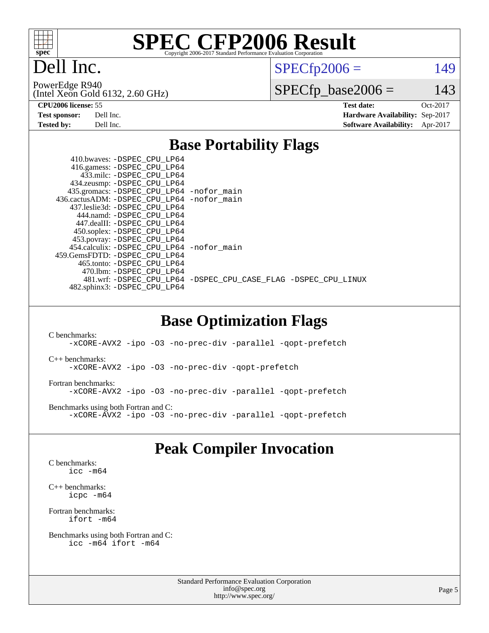

Dell Inc.

 $SPECTp2006 = 149$ 

(Intel Xeon Gold 6132, 2.60 GHz) PowerEdge R940

 $SPECfp\_base2006 = 143$ 

| <b>Test sponsor:</b> | Dell Inc. |
|----------------------|-----------|
| <b>Tested by:</b>    | Dell Inc. |

**[CPU2006 license:](http://www.spec.org/auto/cpu2006/Docs/result-fields.html#CPU2006license)** 55 **[Test date:](http://www.spec.org/auto/cpu2006/Docs/result-fields.html#Testdate)** Oct-2017 **[Hardware Availability:](http://www.spec.org/auto/cpu2006/Docs/result-fields.html#HardwareAvailability)** Sep-2017 **[Software Availability:](http://www.spec.org/auto/cpu2006/Docs/result-fields.html#SoftwareAvailability)** Apr-2017

### **[Base Portability Flags](http://www.spec.org/auto/cpu2006/Docs/result-fields.html#BasePortabilityFlags)**

| 410.bwaves: -DSPEC CPU LP64<br>416.gamess: -DSPEC_CPU_LP64 |                                                                |
|------------------------------------------------------------|----------------------------------------------------------------|
| 433.milc: -DSPEC CPU LP64                                  |                                                                |
| 434.zeusmp: - DSPEC_CPU_LP64                               |                                                                |
| 435.gromacs: -DSPEC_CPU_LP64 -nofor_main                   |                                                                |
| 436.cactusADM: - DSPEC CPU LP64 - nofor main               |                                                                |
| 437.leslie3d: -DSPEC CPU LP64                              |                                                                |
| 444.namd: -DSPEC CPU LP64                                  |                                                                |
| 447.dealII: -DSPEC CPU LP64                                |                                                                |
| 450.soplex: -DSPEC_CPU_LP64                                |                                                                |
| 453.povray: -DSPEC_CPU_LP64                                |                                                                |
| 454.calculix: - DSPEC CPU LP64 - nofor main                |                                                                |
| 459. GemsFDTD: - DSPEC CPU LP64                            |                                                                |
| 465.tonto: -DSPEC CPU LP64                                 |                                                                |
| 470.1bm: - DSPEC CPU LP64                                  |                                                                |
|                                                            | 481.wrf: -DSPEC_CPU_LP64 -DSPEC_CPU_CASE_FLAG -DSPEC_CPU_LINUX |
| 482.sphinx3: -DSPEC_CPU_LP64                               |                                                                |
|                                                            |                                                                |

### **[Base Optimization Flags](http://www.spec.org/auto/cpu2006/Docs/result-fields.html#BaseOptimizationFlags)**

[C benchmarks](http://www.spec.org/auto/cpu2006/Docs/result-fields.html#Cbenchmarks): [-xCORE-AVX2](http://www.spec.org/cpu2006/results/res2017q4/cpu2006-20171114-50541.flags.html#user_CCbase_f-xCORE-AVX2) [-ipo](http://www.spec.org/cpu2006/results/res2017q4/cpu2006-20171114-50541.flags.html#user_CCbase_f-ipo) [-O3](http://www.spec.org/cpu2006/results/res2017q4/cpu2006-20171114-50541.flags.html#user_CCbase_f-O3) [-no-prec-div](http://www.spec.org/cpu2006/results/res2017q4/cpu2006-20171114-50541.flags.html#user_CCbase_f-no-prec-div) [-parallel](http://www.spec.org/cpu2006/results/res2017q4/cpu2006-20171114-50541.flags.html#user_CCbase_f-parallel) [-qopt-prefetch](http://www.spec.org/cpu2006/results/res2017q4/cpu2006-20171114-50541.flags.html#user_CCbase_f-qopt-prefetch) [C++ benchmarks:](http://www.spec.org/auto/cpu2006/Docs/result-fields.html#CXXbenchmarks) [-xCORE-AVX2](http://www.spec.org/cpu2006/results/res2017q4/cpu2006-20171114-50541.flags.html#user_CXXbase_f-xCORE-AVX2) [-ipo](http://www.spec.org/cpu2006/results/res2017q4/cpu2006-20171114-50541.flags.html#user_CXXbase_f-ipo) [-O3](http://www.spec.org/cpu2006/results/res2017q4/cpu2006-20171114-50541.flags.html#user_CXXbase_f-O3) [-no-prec-div](http://www.spec.org/cpu2006/results/res2017q4/cpu2006-20171114-50541.flags.html#user_CXXbase_f-no-prec-div) [-qopt-prefetch](http://www.spec.org/cpu2006/results/res2017q4/cpu2006-20171114-50541.flags.html#user_CXXbase_f-qopt-prefetch) [Fortran benchmarks](http://www.spec.org/auto/cpu2006/Docs/result-fields.html#Fortranbenchmarks): [-xCORE-AVX2](http://www.spec.org/cpu2006/results/res2017q4/cpu2006-20171114-50541.flags.html#user_FCbase_f-xCORE-AVX2) [-ipo](http://www.spec.org/cpu2006/results/res2017q4/cpu2006-20171114-50541.flags.html#user_FCbase_f-ipo) [-O3](http://www.spec.org/cpu2006/results/res2017q4/cpu2006-20171114-50541.flags.html#user_FCbase_f-O3) [-no-prec-div](http://www.spec.org/cpu2006/results/res2017q4/cpu2006-20171114-50541.flags.html#user_FCbase_f-no-prec-div) [-parallel](http://www.spec.org/cpu2006/results/res2017q4/cpu2006-20171114-50541.flags.html#user_FCbase_f-parallel) [-qopt-prefetch](http://www.spec.org/cpu2006/results/res2017q4/cpu2006-20171114-50541.flags.html#user_FCbase_f-qopt-prefetch) [Benchmarks using both Fortran and C](http://www.spec.org/auto/cpu2006/Docs/result-fields.html#BenchmarksusingbothFortranandC): [-xCORE-AVX2](http://www.spec.org/cpu2006/results/res2017q4/cpu2006-20171114-50541.flags.html#user_CC_FCbase_f-xCORE-AVX2) [-ipo](http://www.spec.org/cpu2006/results/res2017q4/cpu2006-20171114-50541.flags.html#user_CC_FCbase_f-ipo) [-O3](http://www.spec.org/cpu2006/results/res2017q4/cpu2006-20171114-50541.flags.html#user_CC_FCbase_f-O3) [-no-prec-div](http://www.spec.org/cpu2006/results/res2017q4/cpu2006-20171114-50541.flags.html#user_CC_FCbase_f-no-prec-div) [-parallel](http://www.spec.org/cpu2006/results/res2017q4/cpu2006-20171114-50541.flags.html#user_CC_FCbase_f-parallel) [-qopt-prefetch](http://www.spec.org/cpu2006/results/res2017q4/cpu2006-20171114-50541.flags.html#user_CC_FCbase_f-qopt-prefetch)

## **[Peak Compiler Invocation](http://www.spec.org/auto/cpu2006/Docs/result-fields.html#PeakCompilerInvocation)**

[C benchmarks](http://www.spec.org/auto/cpu2006/Docs/result-fields.html#Cbenchmarks): [icc -m64](http://www.spec.org/cpu2006/results/res2017q4/cpu2006-20171114-50541.flags.html#user_CCpeak_intel_icc_64bit_bda6cc9af1fdbb0edc3795bac97ada53)

[C++ benchmarks:](http://www.spec.org/auto/cpu2006/Docs/result-fields.html#CXXbenchmarks) [icpc -m64](http://www.spec.org/cpu2006/results/res2017q4/cpu2006-20171114-50541.flags.html#user_CXXpeak_intel_icpc_64bit_fc66a5337ce925472a5c54ad6a0de310)

[Fortran benchmarks](http://www.spec.org/auto/cpu2006/Docs/result-fields.html#Fortranbenchmarks): [ifort -m64](http://www.spec.org/cpu2006/results/res2017q4/cpu2006-20171114-50541.flags.html#user_FCpeak_intel_ifort_64bit_ee9d0fb25645d0210d97eb0527dcc06e)

[Benchmarks using both Fortran and C](http://www.spec.org/auto/cpu2006/Docs/result-fields.html#BenchmarksusingbothFortranandC): [icc -m64](http://www.spec.org/cpu2006/results/res2017q4/cpu2006-20171114-50541.flags.html#user_CC_FCpeak_intel_icc_64bit_bda6cc9af1fdbb0edc3795bac97ada53) [ifort -m64](http://www.spec.org/cpu2006/results/res2017q4/cpu2006-20171114-50541.flags.html#user_CC_FCpeak_intel_ifort_64bit_ee9d0fb25645d0210d97eb0527dcc06e)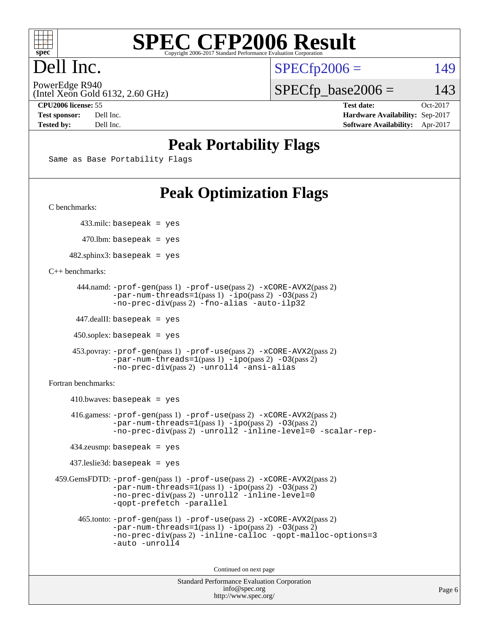

# Dell Inc.

 $SPECTp2006 = 149$ 

(Intel Xeon Gold 6132, 2.60 GHz) PowerEdge R940

 $SPECTp\_base2006 = 143$ 

**[CPU2006 license:](http://www.spec.org/auto/cpu2006/Docs/result-fields.html#CPU2006license)** 55 **[Test date:](http://www.spec.org/auto/cpu2006/Docs/result-fields.html#Testdate)** Oct-2017 **[Test sponsor:](http://www.spec.org/auto/cpu2006/Docs/result-fields.html#Testsponsor)** Dell Inc. **[Hardware Availability:](http://www.spec.org/auto/cpu2006/Docs/result-fields.html#HardwareAvailability)** Sep-2017 **[Tested by:](http://www.spec.org/auto/cpu2006/Docs/result-fields.html#Testedby)** Dell Inc. **[Software Availability:](http://www.spec.org/auto/cpu2006/Docs/result-fields.html#SoftwareAvailability)** Apr-2017

## **[Peak Portability Flags](http://www.spec.org/auto/cpu2006/Docs/result-fields.html#PeakPortabilityFlags)**

Same as Base Portability Flags

# **[Peak Optimization Flags](http://www.spec.org/auto/cpu2006/Docs/result-fields.html#PeakOptimizationFlags)**

[C benchmarks](http://www.spec.org/auto/cpu2006/Docs/result-fields.html#Cbenchmarks):

433.milc: basepeak = yes

 $470.$ lbm: basepeak = yes

 $482$ .sphinx3: basepeak = yes

[C++ benchmarks:](http://www.spec.org/auto/cpu2006/Docs/result-fields.html#CXXbenchmarks)

```
 444.namd: -prof-gen(pass 1) -prof-use(pass 2) -xCORE-AVX2(pass 2)
-par-num-threads=1-ipo-O3(pass 2)-no-prec-div(pass 2) -fno-alias -auto-ilp32
```
447.dealII: basepeak = yes

 $450$ .soplex: basepeak = yes

```
 453.povray: -prof-gen(pass 1) -prof-use(pass 2) -xCORE-AVX2(pass 2)
  -par-num-threads=1-ipo-O3(pass 2)-no-prec-div(pass 2) -unroll4 -ansi-alias
```
[Fortran benchmarks](http://www.spec.org/auto/cpu2006/Docs/result-fields.html#Fortranbenchmarks):

 $410.bwaves: basepeak = yes$  416.gamess: [-prof-gen](http://www.spec.org/cpu2006/results/res2017q4/cpu2006-20171114-50541.flags.html#user_peakPASS1_FFLAGSPASS1_LDFLAGS416_gamess_prof_gen_e43856698f6ca7b7e442dfd80e94a8fc)(pass 1) [-prof-use](http://www.spec.org/cpu2006/results/res2017q4/cpu2006-20171114-50541.flags.html#user_peakPASS2_FFLAGSPASS2_LDFLAGS416_gamess_prof_use_bccf7792157ff70d64e32fe3e1250b55)(pass 2) [-xCORE-AVX2](http://www.spec.org/cpu2006/results/res2017q4/cpu2006-20171114-50541.flags.html#user_peakPASS2_FFLAGSPASS2_LDFLAGS416_gamess_f-xCORE-AVX2)(pass 2)  $-par-num-threads=1(pass 1) -ipo(pass 2) -O3(pass 2)$  $-par-num-threads=1(pass 1) -ipo(pass 2) -O3(pass 2)$  $-par-num-threads=1(pass 1) -ipo(pass 2) -O3(pass 2)$  $-par-num-threads=1(pass 1) -ipo(pass 2) -O3(pass 2)$  $-par-num-threads=1(pass 1) -ipo(pass 2) -O3(pass 2)$  $-par-num-threads=1(pass 1) -ipo(pass 2) -O3(pass 2)$ [-no-prec-div](http://www.spec.org/cpu2006/results/res2017q4/cpu2006-20171114-50541.flags.html#user_peakPASS2_FFLAGSPASS2_LDFLAGS416_gamess_f-no-prec-div)(pass 2) [-unroll2](http://www.spec.org/cpu2006/results/res2017q4/cpu2006-20171114-50541.flags.html#user_peakOPTIMIZE416_gamess_f-unroll_784dae83bebfb236979b41d2422d7ec2) [-inline-level=0](http://www.spec.org/cpu2006/results/res2017q4/cpu2006-20171114-50541.flags.html#user_peakOPTIMIZE416_gamess_f-inline-level_318d07a09274ad25e8d15dbfaa68ba50) [-scalar-rep-](http://www.spec.org/cpu2006/results/res2017q4/cpu2006-20171114-50541.flags.html#user_peakOPTIMIZE416_gamess_f-disablescalarrep_abbcad04450fb118e4809c81d83c8a1d) 434.zeusmp: basepeak = yes 437.leslie3d: basepeak = yes 459.GemsFDTD: [-prof-gen](http://www.spec.org/cpu2006/results/res2017q4/cpu2006-20171114-50541.flags.html#user_peakPASS1_FFLAGSPASS1_LDFLAGS459_GemsFDTD_prof_gen_e43856698f6ca7b7e442dfd80e94a8fc)(pass 1) [-prof-use](http://www.spec.org/cpu2006/results/res2017q4/cpu2006-20171114-50541.flags.html#user_peakPASS2_FFLAGSPASS2_LDFLAGS459_GemsFDTD_prof_use_bccf7792157ff70d64e32fe3e1250b55)(pass 2) [-xCORE-AVX2](http://www.spec.org/cpu2006/results/res2017q4/cpu2006-20171114-50541.flags.html#user_peakPASS2_FFLAGSPASS2_LDFLAGS459_GemsFDTD_f-xCORE-AVX2)(pass 2)  $-par-num-threads=1(pass 1) -ipo(pass 2) -O3(pass 2)$  $-par-num-threads=1(pass 1) -ipo(pass 2) -O3(pass 2)$  $-par-num-threads=1(pass 1) -ipo(pass 2) -O3(pass 2)$  $-par-num-threads=1(pass 1) -ipo(pass 2) -O3(pass 2)$  $-par-num-threads=1(pass 1) -ipo(pass 2) -O3(pass 2)$  $-par-num-threads=1(pass 1) -ipo(pass 2) -O3(pass 2)$ [-no-prec-div](http://www.spec.org/cpu2006/results/res2017q4/cpu2006-20171114-50541.flags.html#user_peakPASS2_FFLAGSPASS2_LDFLAGS459_GemsFDTD_f-no-prec-div)(pass 2) [-unroll2](http://www.spec.org/cpu2006/results/res2017q4/cpu2006-20171114-50541.flags.html#user_peakOPTIMIZE459_GemsFDTD_f-unroll_784dae83bebfb236979b41d2422d7ec2) [-inline-level=0](http://www.spec.org/cpu2006/results/res2017q4/cpu2006-20171114-50541.flags.html#user_peakOPTIMIZE459_GemsFDTD_f-inline-level_318d07a09274ad25e8d15dbfaa68ba50) [-qopt-prefetch](http://www.spec.org/cpu2006/results/res2017q4/cpu2006-20171114-50541.flags.html#user_peakOPTIMIZE459_GemsFDTD_f-qopt-prefetch) [-parallel](http://www.spec.org/cpu2006/results/res2017q4/cpu2006-20171114-50541.flags.html#user_peakOPTIMIZE459_GemsFDTD_f-parallel) 465.tonto: [-prof-gen](http://www.spec.org/cpu2006/results/res2017q4/cpu2006-20171114-50541.flags.html#user_peakPASS1_FFLAGSPASS1_LDFLAGS465_tonto_prof_gen_e43856698f6ca7b7e442dfd80e94a8fc)(pass 1) [-prof-use](http://www.spec.org/cpu2006/results/res2017q4/cpu2006-20171114-50541.flags.html#user_peakPASS2_FFLAGSPASS2_LDFLAGS465_tonto_prof_use_bccf7792157ff70d64e32fe3e1250b55)(pass 2) [-xCORE-AVX2](http://www.spec.org/cpu2006/results/res2017q4/cpu2006-20171114-50541.flags.html#user_peakPASS2_FFLAGSPASS2_LDFLAGS465_tonto_f-xCORE-AVX2)(pass 2)  $-par-num-threads=1(pass 1) -ipo(pass 2) -O3(pass 2)$  $-par-num-threads=1(pass 1) -ipo(pass 2) -O3(pass 2)$  $-par-num-threads=1(pass 1) -ipo(pass 2) -O3(pass 2)$  $-par-num-threads=1(pass 1) -ipo(pass 2) -O3(pass 2)$  $-par-num-threads=1(pass 1) -ipo(pass 2) -O3(pass 2)$  $-par-num-threads=1(pass 1) -ipo(pass 2) -O3(pass 2)$ [-no-prec-div](http://www.spec.org/cpu2006/results/res2017q4/cpu2006-20171114-50541.flags.html#user_peakPASS2_FFLAGSPASS2_LDFLAGS465_tonto_f-no-prec-div)(pass 2) [-inline-calloc](http://www.spec.org/cpu2006/results/res2017q4/cpu2006-20171114-50541.flags.html#user_peakOPTIMIZE465_tonto_f-inline-calloc) [-qopt-malloc-options=3](http://www.spec.org/cpu2006/results/res2017q4/cpu2006-20171114-50541.flags.html#user_peakOPTIMIZE465_tonto_f-qopt-malloc-options_0fcb435012e78f27d57f473818e45fe4) [-auto](http://www.spec.org/cpu2006/results/res2017q4/cpu2006-20171114-50541.flags.html#user_peakOPTIMIZE465_tonto_f-auto) [-unroll4](http://www.spec.org/cpu2006/results/res2017q4/cpu2006-20171114-50541.flags.html#user_peakOPTIMIZE465_tonto_f-unroll_4e5e4ed65b7fd20bdcd365bec371b81f)

Continued on next page

```
Standard Performance Evaluation Corporation
      info@spec.org
    http://www.spec.org/
```